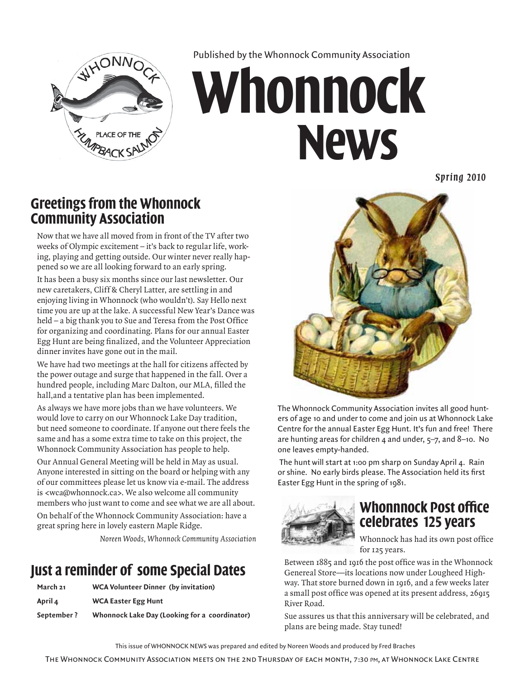

Published by the Whonnock Community Association

# **Whonnock News**

*Spr ing 2010*

### **Greetings from the Whonnock Community Association**

Now that we have all moved from in front of the TV after two weeks of Olympic excitement – it's back to regular life, working, playing and getting outside. Our winter never really happened so we are all looking forward to an early spring.

It has been a busy six months since our last newsletter. Our new caretakers, Cliff & Cheryl Latter, are settling in and enjoying living in Whonnock (who wouldn't). Say Hello next time you are up at the lake. A successful New Year's Dance was held – a big thank you to Sue and Teresa from the Post Office for organizing and coordinating. Plans for our annual Easter Egg Hunt are being finalized, and the Volunteer Appreciation dinner invites have gone out in the mail.

We have had two meetings at the hall for citizens affected by the power outage and surge that happened in the fall. Over a hundred people, including Marc Dalton, our MLA, filled the hall,and a tentative plan has been implemented.

As always we have more jobs than we have volunteers. We would love to carry on our Whonnock Lake Day tradition, but need someone to coordinate. If anyone out there feels the same and has a some extra time to take on this project, the Whonnock Community Association has people to help.

Our Annual General Meeting will be held in May as usual. Anyone interested in sitting on the board or helping with any of our committees please let us know via e-mail. The address is <wca@whonnock.ca>. We also welcome all community members who just want to come and see what we are all about.

On behalf of the Whonnock Community Association: have a great spring here in lovely eastern Maple Ridge.

*Noreen Woods, Whonnock Community Association*

### **Just a reminder of some Special Dates**

| March 21   | <b>WCA Volunteer Dinner (by invitation)</b>   |
|------------|-----------------------------------------------|
| April 4    | <b>WCA Easter Egg Hunt</b>                    |
| September? | Whonnock Lake Day (Looking for a coordinator) |



The Whonnock Community Association invites all good hunters of age 10 and under to come and join us at Whonnock Lake Centre for the annual Easter Egg Hunt. It's fun and free! There are hunting areas for children 4 and under,  $5-7$ , and 8-10. No one leaves empty-handed.

 The hunt will start at 1:00 pm sharp on Sunday April 4. Rain or shine. No early birds please. The Association held its first Easter Egg Hunt in the spring of 1981.



### **Whonnnock Post office celebrates 125 years**

Whonnock has had its own post office for 125 years.

Between 1885 and 1916 the post office was in the Whonnock Genereal Store—its locations now under Lougheed Highway. That store burned down in 1916, and a few weeks later a small post office was opened at its present address, 26915 River Road.

Sue assures us that this anniversary will be celebrated, and plans are being made. Stay tuned!

This issue of Whonnock News was prepared and edited by Noreen Woods and produced by Fred Braches

The Whonnock Community Association meets on the 2nd Thursday of each month, 7:30 pm, at Whonnock Lake Centre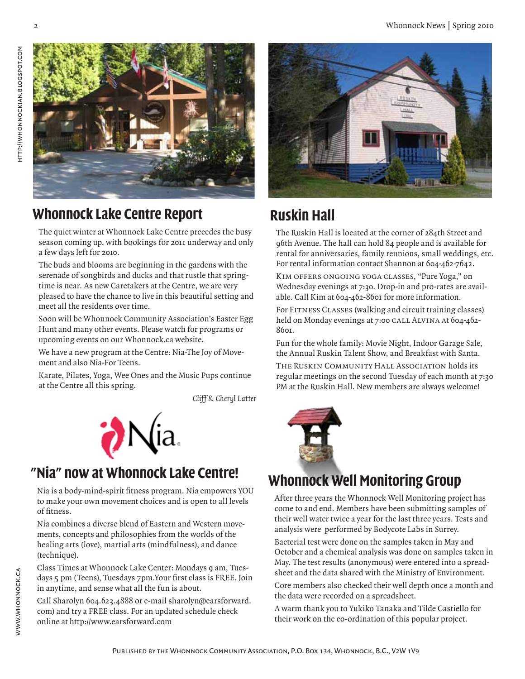

### **Whonnock Lake Centre Report**

The quiet winter at Whonnock Lake Centre precedes the busy season coming up, with bookings for 2011 underway and only a few days left for 2010.

The buds and blooms are beginning in the gardens with the serenade of songbirds and ducks and that rustle that springtime is near. As new Caretakers at the Centre, we are very pleased to have the chance to live in this beautiful setting and meet all the residents over time.

Soon will be Whonnock Community Association's Easter Egg Hunt and many other events. Please watch for programs or upcoming events on our Whonnock.ca website.

We have a new program at the Centre: Nia-The Joy of Movement and also Nia-For Teens.

Karate, Pilates, Yoga, Wee Ones and the Music Pups continue at the Centre all this spring.

*Cliff & Cheryl Latter*



### **"Nia" now at Whonnock Lake Centre!**

Nia is a body-mind-spirit fitness program. Nia empowers YOU to make your own movement choices and is open to all levels of fitness.

Nia combines a diverse blend of Eastern and Western movements, concepts and philosophies from the worlds of the healing arts (love), martial arts (mindfulness), and dance (technique).

Class Times at Whonnock Lake Center: Mondays 9 am, Tuesdays 5 pm (Teens), Tuesdays 7pm.Your first class is FREE. Join in anytime, and sense what all the fun is about.

Call Sharolyn 604.623.4888 or e-mail sharolyn@earsforward. com) and try a FREE class. For an updated schedule check online at http://www.earsforward.com



# **Ruskin Hall**

The Ruskin Hall is located at the corner of 284th Street and 96th Avenue. The hall can hold 84 people and is available for rental for anniversaries, family reunions, small weddings, etc. For rental information contact Shannon at 604-462-7642.

Kim offers ongoing yoga classes, "Pure Yoga," on Wednesday evenings at 7:30. Drop-in and pro-rates are available. Call Kim at 604-462-8601 for more information.

For Fitness Classes (walking and circuit training classes) held on Monday evenings at 7:00 CALL ALVINA At 604-462-8601.

Fun for the whole family: Movie Night, Indoor Garage Sale, the Annual Ruskin Talent Show, and Breakfast with Santa.

The Ruskin Community Hall Association holds its regular meetings on the second Tuesday of each month at 7:30 PM at the Ruskin Hall. New members are always welcome!



### **Whonnock Well Monitoring Group**

After three years the Whonnock Well Monitoring project has come to and end. Members have been submitting samples of their well water twice a year for the last three years. Tests and analysis were performed by Bodycote Labs in Surrey.

Bacterial test were done on the samples taken in May and October and a chemical analysis was done on samples taken in May. The test results (anonymous) were entered into a spreadsheet and the data shared with the Ministry of Environment.

Core members also checked their well depth once a month and the data were recorded on a spreadsheet.

A warm thank you to Yukiko Tanaka and Tilde Castiello for their work on the co-ordination of this popular project.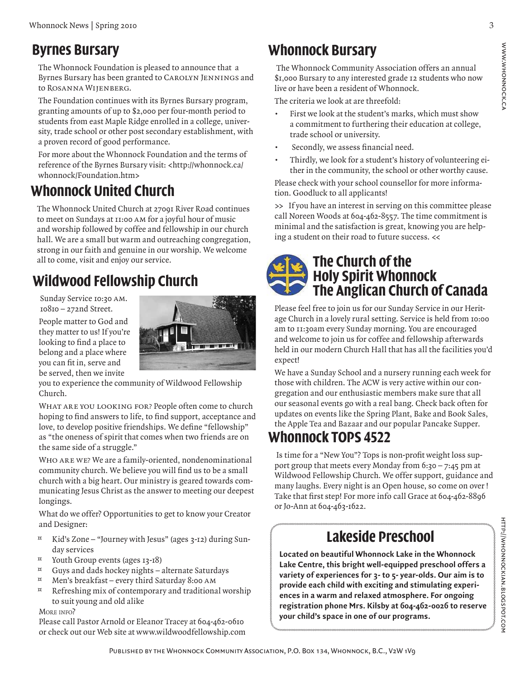### **Byrnes Bursary**

The Whonnock Foundation is pleased to announce that a Byrnes Bursary has been granted to Carolyn Jennings and to Rosanna Wijenberg.

The Foundation continues with its Byrnes Bursary program, granting amounts of up to \$2,000 per four-month period to students from east Maple Ridge enrolled in a college, university, trade school or other post secondary establishment, with a proven record of good performance.

For more about the Whonnock Foundation and the terms of reference of the Byrnes Bursary visit: <http://whonnock.ca/ whonnock/Foundation.htm>

## **Whonnock United Church**

The Whonnock United Church at 27091 River Road continues to meet on Sundays at 11:00 am for a joyful hour of music and worship followed by coffee and fellowship in our church hall. We are a small but warm and outreaching congregation, strong in our faith and genuine in our worship. We welcome all to come, visit and enjoy our service.

# **Wildwood Fellowship Church**

Sunday Service 10:30 AM. 10810 – 272nd Street. People matter to God and they matter to us! If you're looking to find a place to belong and a place where you can fit in, serve and be served, then we invite



you to experience the community of Wildwood Fellowship Church.

WHAT ARE YOU LOOKING FOR? People often come to church hoping to find answers to life, to find support, acceptance and love, to develop positive friendships. We define "fellowship" as "the oneness of spirit that comes when two friends are on the same side of a struggle."

Who are we? We are a family-oriented, nondenominational community church. We believe you will find us to be a small church with a big heart. Our ministry is geared towards communicating Jesus Christ as the answer to meeting our deepest longings.

What do we offer? Opportunities to get to know your Creator and Designer:

- $\alpha$  Kid's Zone "Journey with Jesus" (ages 3-12) during Sunday services
- ¤ Youth Group events (ages 13-18)
- $\alpha$  Guys and dads hockey nights alternate Saturdays
- $\alpha$  Men's breakfast every third Saturday 8:00 AM
- $\alpha$  Refreshing mix of contemporary and traditional worship to suit young and old alike

#### MORE INFO?

Please call Pastor Arnold or Eleanor Tracey at 604-462-0610 or check out our Web site at www.wildwoodfellowship.com

# **Whonnock Bursary**

 The Whonnock Community Association offers an annual \$1,000 Bursary to any interested grade 12 students who now live or have been a resident of Whonnock.

The criteria we look at are threefold:

- First we look at the student's marks, which must show a commitment to furthering their education at college, trade school or university.
- Secondly, we assess financial need.
- Thirdly, we look for a student's history of volunteering either in the community, the school or other worthy cause.

Please check with your school counsellor for more information. Goodluck to all applicants!

>> If you have an interest in serving on this committee please call Noreen Woods at 604-462-8557. The time commitment is minimal and the satisfaction is great, knowing you are helping a student on their road to future success. <<

### **The Church of the Holy Spirit Whonnock The Anglican Church of Canada**

Please feel free to join us for our Sunday Service in our Heritage Church in a lovely rural setting. Service is held from 10:00 am to 11:30am every Sunday morning. You are encouraged and welcome to join us for coffee and fellowship afterwards held in our modern Church Hall that has all the facilities you'd expect!

We have a Sunday School and a nursery running each week for those with children. The ACW is very active within our congregation and our enthusiastic members make sure that all our seasonal events go with a real bang. Check back often for updates on events like the Spring Plant, Bake and Book Sales, the Apple Tea and Bazaar and our popular Pancake Supper.

### **Whonnock TOPS 4522**

 Is time for a "New You"? Tops is non-profit weight loss support group that meets every Monday from  $6:30 - 7:45$  pm at Wildwood Fellowship Church. We offer support, guidance and many laughs. Every night is an Open house, so come on over ! Take that first step! For more info call Grace at 604-462-8896 or Jo-Ann at 604-463-1622.

# **Lakeside Preschool**

**Located on beautiful Whonnock Lake in the Whonnock Lake Centre, this bright well-equipped preschool offers a variety of experiences for 3- to 5- year-olds. Our aim is to provide each child with exciting and stimulating experiences in a warm and relaxed atmosphere. For ongoing registration phone Mrs. Kilsby at 604-462-0026 to reserve your child's space in one of our programs.**

HTTP://WHONNOCKIAN.BLOGSPOT.COM http://whonnockian.blogspot.com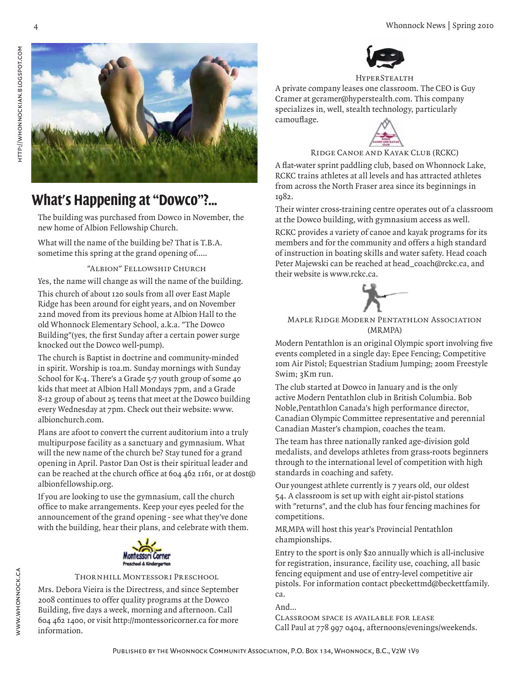



### **What's Happening at "Dowco"?...**

The building was purchased from Dowco in November, the new home of Albion Fellowship Church.

What will the name of the building be? That is T.B.A. sometime this spring at the grand opening of.....

#### "Albion" Fellowship Church

Yes, the name will change as will the name of the building.

This church of about 120 souls from all over East Maple Ridge has been around for eight years, and on November 22nd moved from its previous home at Albion Hall to the old Whonnock Elementary School, a.k.a. "The Dowco Building"(yes, the first Sunday after a certain power surge knocked out the Dowco well-pump).

The church is Baptist in doctrine and community-minded in spirit. Worship is 10a.m. Sunday mornings with Sunday School for K-4. There's a Grade 5-7 youth group of some 40 kids that meet at Albion Hall Mondays 7pm, and a Grade 8-12 group of about 25 teens that meet at the Dowco building every Wednesday at 7pm. Check out their website: www. albionchurch.com.

Plans are afoot to convert the current auditorium into a truly multipurpose facility as a sanctuary and gymnasium. What will the new name of the church be? Stay tuned for a grand opening in April. Pastor Dan Ost is their spiritual leader and can be reached at the church office at 604 462 1161, or at dost@ albionfellowship.org.

If you are looking to use the gymnasium, call the church office to make arrangements. Keep your eyes peeled for the announcement of the grand opening - see what they've done with the building, hear their plans, and celebrate with them.



#### Thornhill Montessori Preschool

Mrs. Debora Vieira is the Directress, and since September 2008 continues to offer quality programs at the Dowco Building, five days a week, morning and afternoon. Call 604 462 1400, or visit http://montessoricorner.ca for more information.



#### **HYPERSTEALTH**

A private company leases one classroom. The CEO is Guy Cramer at gcramer@hyperstealth.com. This company specializes in, well, stealth technology, particularly camouflage.



#### Ridge Canoe and Kayak Club (RCKC)

A flat-water sprint paddling club, based on Whonnock Lake, RCKC trains athletes at all levels and has attracted athletes from across the North Fraser area since its beginnings in 1982.

Their winter cross-training centre operates out of a classroom at the Dowco building, with gymnasium access as well.

RCKC provides a variety of canoe and kayak programs for its members and for the community and offers a high standard of instruction in boating skills and water safety. Head coach Peter Majewski can be reached at head\_coach@rckc.ca, and their website is www.rckc.ca.



#### Maple Ridge Modern Pentathlon Association (MRMPA)

Modern Pentathlon is an original Olympic sport involving five events completed in a single day: Epee Fencing; Competitive 10m Air Pistol; Equestrian Stadium Jumping; 200m Freestyle Swim; 3Km run.

The club started at Dowco in January and is the only active Modern Pentathlon club in British Columbia. Bob Noble,Pentathlon Canada's high performance director, Canadian Olympic Committee representative and perennial Canadian Master's champion, coaches the team.

The team has three nationally ranked age-division gold medalists, and develops athletes from grass-roots beginners through to the international level of competition with high standards in coaching and safety.

Our youngest athlete currently is 7 years old, our oldest 54. A classroom is set up with eight air-pistol stations with "returns", and the club has four fencing machines for competitions.

MRMPA will host this year's Provincial Pentathlon championships.

Entry to the sport is only \$20 annually which is all-inclusive for registration, insurance, facility use, coaching, all basic fencing equipment and use of entry-level competitive air pistols. For information contact pbeckettmd@beckettfamily. ca.

And...

Classroom space is available for lease Call Paul at 778 997 0404, afternoons/evenings/weekends.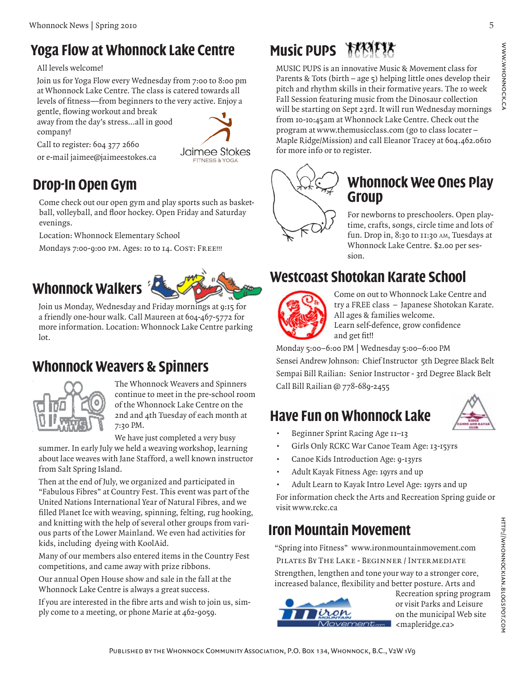### **Yoga Flow at Whonnock Lake Centre**

All levels welcome!

Join us for Yoga Flow every Wednesday from 7:00 to 8:00 pm at Whonnock Lake Centre. The class is catered towards all levels of fitness—from beginners to the very active. Enjoy a

gentle, flowing workout and break away from the day's stress…all in good company!

Jaimee Stokes **FITNESS & YOGA** 

## **Drop-In Open Gym**

Call to register: 604 377 2660 or e-mail jaimee@jaimeestokes.ca

Come check out our open gym and play sports such as basketball, volleyball, and floor hockey. Open Friday and Saturday evenings.

Location: Whonnock Elementary School

Mondays 7:00-9:00 PM. Ages: 10 to 14. COST: FREE !!!

### **Whonnock Walkers**



Join us Monday, Wednesday and Friday mornings at 9:15 for a friendly one-hour walk. Call Maureen at 604-467-5772 for more information. Location: Whonnock Lake Centre parking lot.

### **Whonnock Weavers & Spinners**



The Whonnock Weavers and Spinners continue to meet in the pre-school room of the Whonnock Lake Centre on the 2nd and 4th Tuesday of each month at 7:30 PM.

We have just completed a very busy

summer. In early July we held a weaving workshop, learning about lace weaves with Jane Stafford, a well known instructor from Salt Spring Island.

Then at the end of July, we organized and participated in "Fabulous Fibres" at Country Fest. This event was part of the United Nations International Year of Natural Fibres, and we filled Planet Ice with weaving, spinning, felting, rug hooking, and knitting with the help of several other groups from various parts of the Lower Mainland. We even had activities for kids, including dyeing with KoolAid.

Many of our members also entered items in the Country Fest competitions, and came away with prize ribbons.

Our annual Open House show and sale in the fall at the Whonnock Lake Centre is always a great success.

If you are interested in the fibre arts and wish to join us, simply come to a meeting, or phone Marie at 462-9059.

# **Music PUPS MAYER**

MUSIC PUPS is an innovative Music & Movement class for Parents & Tots (birth – age  $\varsigma$ ) helping little ones develop their pitch and rhythm skills in their formative years. The 10 week Fall Session featuring music from the Dinosaur collection will be starting on Sept 23rd. It will run Wednesday mornings from 10-10:45am at Whonnock Lake Centre. Check out the program at www.themusicclass.com (go to class locater – Maple Ridge/Mission) and call Eleanor Tracey at 604.462.0610 for more info or to register.



### **Whonnock Wee Ones Play Group**

For newborns to preschoolers. Open playtime, crafts, songs, circle time and lots of fun. Drop in, 8:30 to 11:30 am, Tuesdays at Whonnock Lake Centre. \$2.00 per session.

### **Westcoast Shotokan Karate School**



Come on out to Whonnock Lake Centre and try a FREE class – Japanese Shotokan Karate. All ages & families welcome. Learn self-defence, grow confidence and get fit!!

Monday 5:00–6:00 PM | Wednesday 5:00–6:00 PM Sensei Andrew Johnson: Chief Instructor 5th Degree Black Belt Sempai Bill Railian: Senior Instructor - 3rd Degree Black Belt Call Bill Railian @ 778-689-2455

# **Have Fun on Whonnock Lake**



- Beginner Sprint Racing Age 11–13
- Girls Only RCKC War Canoe Team Age: 13-15yrs
- Canoe Kids Introduction Age: 9-13yrs
- Adult Kayak Fitness Age: 19yrs and up
- Adult Learn to Kayak Intro Level Age: 19yrs and up

For information check the Arts and Recreation Spring guide or visit www.rckc.ca

### **Iron Mountain Movement**

"Spring into Fitness" www.ironmountainmovement.com Pilates By The Lake - Beginner / Intermediate

Strengthen, lengthen and tone your way to a stronger core, increased balance, flexibility and better posture. Arts and



Recreation spring program or visit Parks and Leisure on the municipal Web site <mapleridge.ca>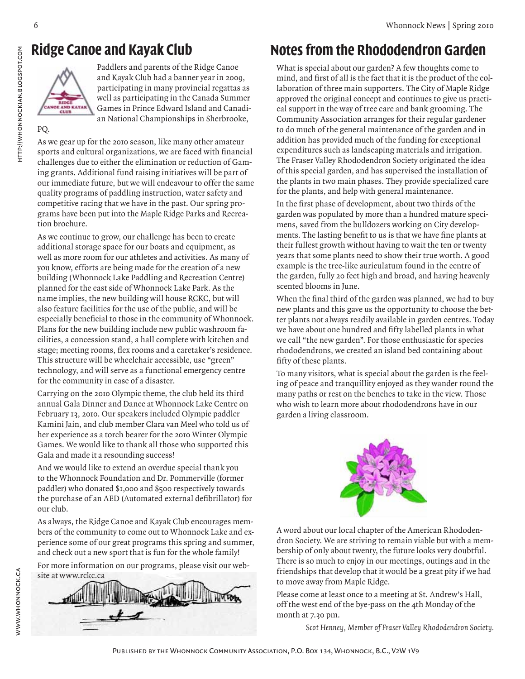# **Ridge Canoe and Kayak Club**



Paddlers and parents of the Ridge Canoe and Kayak Club had a banner year in 2009, participating in many provincial regattas as well as participating in the Canada Summer Games in Prince Edward Island and Canadian National Championships in Sherbrooke,

PQ.

HTTP://WHONNOCKIAN.BLOGSPOT.COM

As we gear up for the 2010 season, like many other amateur sports and cultural organizations, we are faced with financial challenges due to either the elimination or reduction of Gaming grants. Additional fund raising initiatives will be part of our immediate future, but we will endeavour to offer the same quality programs of paddling instruction, water safety and competitive racing that we have in the past. Our spring programs have been put into the Maple Ridge Parks and Recreation brochure.

As we continue to grow, our challenge has been to create additional storage space for our boats and equipment, as well as more room for our athletes and activities. As many of you know, efforts are being made for the creation of a new building (Whonnock Lake Paddling and Recreation Centre) planned for the east side of Whonnock Lake Park. As the name implies, the new building will house RCKC, but will also feature facilities for the use of the public, and will be especially beneficial to those in the community of Whonnock. Plans for the new building include new public washroom facilities, a concession stand, a hall complete with kitchen and stage; meeting rooms, flex rooms and a caretaker's residence. This structure will be wheelchair accessible, use "green" technology, and will serve as a functional emergency centre for the community in case of a disaster.

Carrying on the 2010 Olympic theme, the club held its third annual Gala Dinner and Dance at Whonnock Lake Centre on February 13, 2010. Our speakers included Olympic paddler Kamini Jain, and club member Clara van Meel who told us of her experience as a torch bearer for the 2010 Winter Olympic Games. We would like to thank all those who supported this Gala and made it a resounding success!

And we would like to extend an overdue special thank you to the Whonnock Foundation and Dr. Pommerville (former paddler) who donated \$1,000 and \$500 respectively towards the purchase of an AED (Automated external defibrillator) for our club.

As always, the Ridge Canoe and Kayak Club encourages members of the community to come out to Whonnock Lake and experience some of our great programs this spring and summer, and check out a new sport that is fun for the whole family!

For more information on our programs, please visit our website at www.rckc.ca



### **Notes from the Rhododendron Garden**

What is special about our garden? A few thoughts come to mind, and first of all is the fact that it is the product of the collaboration of three main supporters. The City of Maple Ridge approved the original concept and continues to give us practical support in the way of tree care and bank grooming. The Community Association arranges for their regular gardener to do much of the general maintenance of the garden and in addition has provided much of the funding for exceptional expenditures such as landscaping materials and irrigation. The Fraser Valley Rhododendron Society originated the idea of this special garden, and has supervised the installation of the plants in two main phases. They provide specialized care for the plants, and help with general maintenance.

In the first phase of development, about two thirds of the garden was populated by more than a hundred mature specimens, saved from the bulldozers working on City developments. The lasting benefit to us is that we have fine plants at their fullest growth without having to wait the ten or twenty years that some plants need to show their true worth. A good example is the tree-like auriculatum found in the centre of the garden, fully 20 feet high and broad, and having heavenly scented blooms in June.

When the final third of the garden was planned, we had to buy new plants and this gave us the opportunity to choose the better plants not always readily available in garden centres. Today we have about one hundred and fifty labelled plants in what we call "the new garden". For those enthusiastic for species rhododendrons, we created an island bed containing about fifty of these plants.

To many visitors, what is special about the garden is the feeling of peace and tranquillity enjoyed as they wander round the many paths or rest on the benches to take in the view. Those who wish to learn more about rhododendrons have in our garden a living classroom.



A word about our local chapter of the American Rhododendron Society. We are striving to remain viable but with a membership of only about twenty, the future looks very doubtful. There is so much to enjoy in our meetings, outings and in the friendships that develop that it would be a great pity if we had to move away from Maple Ridge.

Please come at least once to a meeting at St. Andrew's Hall, off the west end of the bye-pass on the 4th Monday of the month at 7.30 pm.

*Scot Henney, Member of Fraser Valley Rhododendron Society.*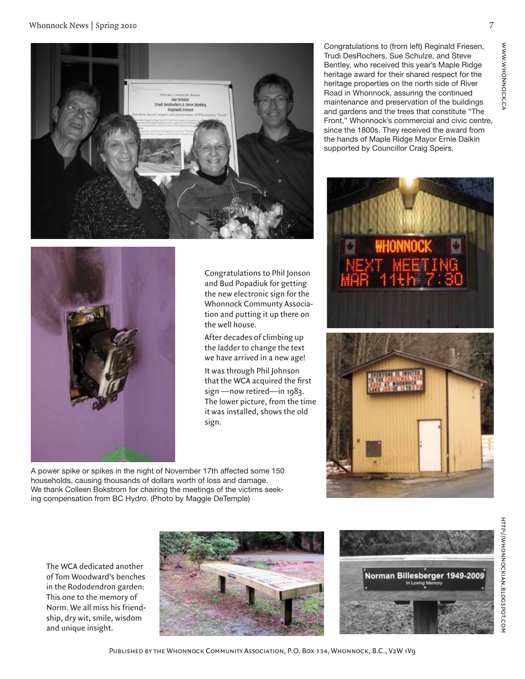



Congratulations to Phil Jonson and Bud Popadiuk for getting the new electronic sign for the Whonnock Communty Association and putting it up there on the well house.

After decades of climbing up the ladder to change the text we have arrived in a new age!

It was through Phil Johnson that the WCA acquired the first sign —now retired—in 1983. The lower picture, from the time it was installed, shows the old sign.

A power spike or spikes in the night of November 17th affected some 150 households, causing thousands of dollars worth of loss and damage. We thank Colleen Bokstrom for chairing the meetings of the victims seeking compensation from BC Hydro. (Photo by Maggie DeTemple)

Congratulations to (from left) Reginald Friesen, Trudi DesRochers, Sue Schulze, and Steve Bentley, who received this year's Maple Ridge heritage award for their shared respect for the heritage properties on the north side of River Road in Whonnock, assuring the continued maintenance and preservation of the buildings and gardens and the trees that constitute "The Front," Whonnock's commercial and civic centre, since the 1800s. They received the award from the hands of Maple Ridge Mayor Ernie Daikin supported by Councillor Craig Speirs.







The WCA dedicated another of Tom Woodward's benches in the Rododendron garden: This one to the memory of Norm. We all miss his friendship, dry wit, smile, wisdom and unique insight.